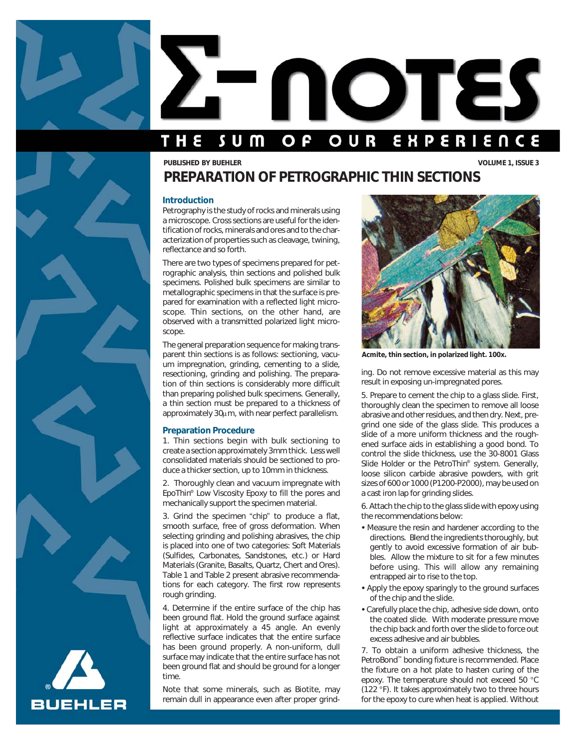

# NOTES THE EXPERIENCE s u m OUR O **P**

# *PREPARATION OF PETROGRAPHIC THIN SECTIONS PUBLISHED BY BUEHLER VOLUME 1, ISSUE 3*

## *Introduction*

Petrography is the study of rocks and minerals using a microscope. Cross sections are useful for the identification of rocks, minerals and ores and to the characterization of properties such as cleavage, twining, reflectance and so forth.

There are two types of specimens prepared for petrographic analysis, thin sections and polished bulk specimens. Polished bulk specimens are similar to metallographic specimens in that the surface is prepared for examination with a reflected light microscope. Thin sections, on the other hand, are observed with a transmitted polarized light microscope.

The general preparation sequence for making transparent thin sections is as follows: sectioning, vacuum impregnation, grinding, cementing to a slide, resectioning, grinding and polishing. The preparation of thin sections is considerably more difficult than preparing polished bulk specimens. Generally, a thin section must be prepared to a thickness of approximately 30 $\mu$ m, with near perfect parallelism.

# *Preparation Procedure*

1. Thin sections begin with bulk sectioning to create a section approximately 3mm thick. Less well consolidated materials should be sectioned to produce a thicker section, up to 10mm in thickness.

2. Thoroughly clean and vacuum impregnate with EpoThin® Low Viscosity Epoxy to fill the pores and mechanically support the specimen material.

3. Grind the specimen "chip" to produce a flat, smooth surface, free of gross deformation. When selecting grinding and polishing abrasives, the chip is placed into one of two categories: Soft Materials (Sulfides, Carbonates, Sandstones, etc.) or Hard Materials (Granite, Basalts, Quartz, Chert and Ores). Table 1 and Table 2 present abrasive recommendations for each category. The first row represents rough grinding.

4. Determine if the entire surface of the chip has been ground flat. Hold the ground surface against light at approximately a 45 angle. An evenly reflective surface indicates that the entire surface has been ground properly. A non-uniform, dull surface may indicate that the entire surface has not been ground flat and should be ground for a longer time.

Note that some minerals, such as Biotite, may remain dull in appearance even after proper grind-



*Acmite, thin section, in polarized light. 100x.*

ing. Do not remove excessive material as this may result in exposing un-impregnated pores.

5. Prepare to cement the chip to a glass slide. First, thoroughly clean the specimen to remove all loose abrasive and other residues, and then dry. Next, pregrind one side of the glass slide. This produces a slide of a more uniform thickness and the roughened surface aids in establishing a good bond. To control the slide thickness, use the 30-8001 Glass Slide Holder or the PetroThin® system. Generally, loose silicon carbide abrasive powders, with grit sizes of 600 or 1000 (P1200-P2000), may be used on a cast iron lap for grinding slides.

6. Attach the chip to the glass slide with epoxy using the recommendations below:

- Measure the resin and hardener according to the directions. Blend the ingredients thoroughly, but gently to avoid excessive formation of air bubbles. Allow the mixture to sit for a few minutes before using. This will allow any remaining entrapped air to rise to the top.
- Apply the epoxy sparingly to the ground surfaces of the chip and the slide.
- Carefully place the chip, adhesive side down, onto the coated slide. With moderate pressure move the chip back and forth over the slide to force out excess adhesive and air bubbles.

7. To obtain a uniform adhesive thickness, the PetroBond™ bonding fixture is recommended. Place the fixture on a hot plate to hasten curing of the epoxy. The temperature should not exceed 50 °C (122 °F). It takes approximately two to three hours for the epoxy to cure when heat is applied. Without

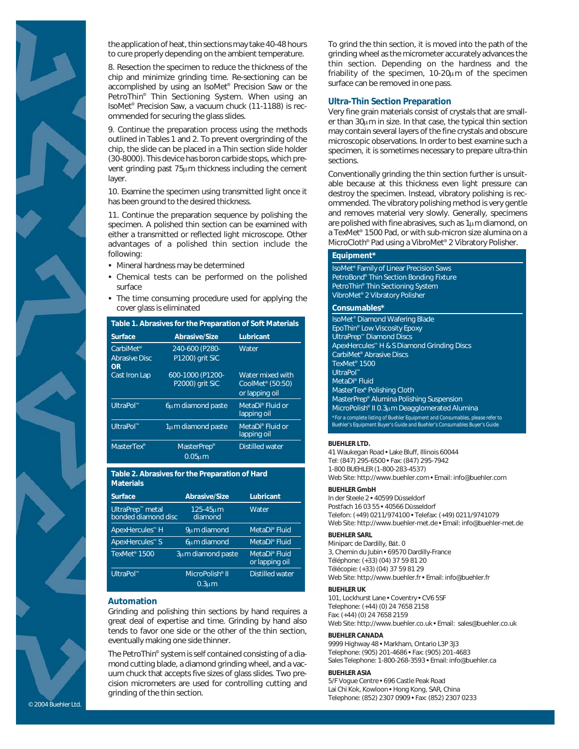

the application of heat, thin sections may take 40-48 hours to cure properly depending on the ambient temperature.

8. Resection the specimen to reduce the thickness of the chip and minimize grinding time. Re-sectioning can be accomplished by using an IsoMet® Precision Saw or the PetroThin® Thin Sectioning System. When using an IsoMet® Precision Saw, a vacuum chuck (11-1188) is recommended for securing the glass slides.

9. Continue the preparation process using the methods outlined in Tables 1 and 2. To prevent overgrinding of the chip, the slide can be placed in a Thin section slide holder (30-8000). This device has boron carbide stops, which prevent grinding past 75µm thickness including the cement layer.

10. Examine the specimen using transmitted light once it has been ground to the desired thickness.

11. Continue the preparation sequence by polishing the specimen. A polished thin section can be examined with either a transmitted or reflected light microscope. Other advantages of a polished thin section include the following:

- Mineral hardness may be determined
- Chemical tests can be performed on the polished surface
- The time consuming procedure used for applying the cover glass is eliminated

| Table 1. Abrasives for the Preparation of Soft Materials |                                                |                                                                    |  |
|----------------------------------------------------------|------------------------------------------------|--------------------------------------------------------------------|--|
| Surface                                                  | <b>Abrasive/Size</b>                           | Lubricant                                                          |  |
| CarbiMet <sup>®</sup><br><b>Abrasive Disc</b><br>OR      | 240-600 (P280-<br>P1200) grit SiC              | Water                                                              |  |
| Cast Iron Lap                                            | 600-1000 (P1200-<br>P2000) grit SiC            | Water mixed with<br>CoolMet <sup>®</sup> (50:50)<br>or lapping oil |  |
| UltraPol™                                                | 6um diamond paste                              | MetaDi <sup>®</sup> Fluid or<br>lapping oil                        |  |
| UltraPol™                                                | 1um diamond paste                              | MetaDi® Fluid or<br>lapping oil                                    |  |
| MasterTex <sup>®</sup>                                   | MasterPrep <sup>®</sup><br>0.05 <sub>u</sub> m | <b>Distilled water</b>                                             |  |

## *Table 2. Abrasives for the Preparation of Hard Materials*

| <b>Surface</b>                                 | <b>Abrasive/Size</b>        | Lubricant                                   |
|------------------------------------------------|-----------------------------|---------------------------------------------|
| <b>UltraPrep™</b> metal<br>bonded diamond disc | 125-45um<br>diamond         | Water                                       |
| ApexHercules™ H                                | 9um diamond                 | MetaDi <sup>®</sup> Fluid                   |
| ApexHercules™ S                                | <b>6um</b> diamond          | MetaDi <sup>®</sup> Fluid                   |
| TexMet <sup>®</sup> 1500                       | 3um diamond paste           | MetaDi <sup>®</sup> Fluid<br>or lapping oil |
| UltraPol™                                      | MicroPolish <sup>®</sup> II | Distilled water                             |
|                                                | 0.3 <sub>u</sub> m          |                                             |

# *Automation*

Grinding and polishing thin sections by hand requires a great deal of expertise and time. Grinding by hand also tends to favor one side or the other of the thin section, eventually making one side thinner.

The PetroThin® system is self contained consisting of a diamond cutting blade, a diamond grinding wheel, and a vacuum chuck that accepts five sizes of glass slides. Two precision micrometers are used for controlling cutting and grinding of the thin section.

To grind the thin section, it is moved into the path of the grinding wheel as the micrometer accurately advances the thin section. Depending on the hardness and the friability of the specimen, 10-20µm of the specimen surface can be removed in one pass.

## *Ultra-Thin Section Preparation*

Very fine grain materials consist of crystals that are smaller than 30µm in size. In that case, the typical thin section may contain several layers of the fine crystals and obscure microscopic observations. In order to best examine such a specimen, it is sometimes necessary to prepare ultra-thin sections.

Conventionally grinding the thin section further is unsuitable because at this thickness even light pressure can destroy the specimen. Instead, vibratory polishing is recommended. The vibratory polishing method is very gentle and removes material very slowly. Generally, specimens are polished with fine abrasives, such as  $1\mu$ m diamond, on a TexMet® 1500 Pad, or with sub-micron size alumina on a MicroCloth® Pad using a VibroMet® 2 Vibratory Polisher.

## *Equipment\**

IsoMet® Family of Linear Precision Saws PetroBond® Thin Section Bonding Fixture PetroThin® Thin Sectioning System VibroMet® 2 Vibratory Polisher

### *Consumables\**

| IsoMet <sup>®</sup> Diamond Wafering Blade                                                                                                                 |
|------------------------------------------------------------------------------------------------------------------------------------------------------------|
| EpoThin <sup>®</sup> Low Viscosity Epoxy                                                                                                                   |
| <b>UltraPrep™ Diamond Discs</b>                                                                                                                            |
| ApexHercules <sup>™</sup> H & S Diamond Grinding Discs                                                                                                     |
| CarbiMet <sup>®</sup> Abrasive Discs                                                                                                                       |
| TexMet <sup>®</sup> 1500                                                                                                                                   |
| UltraPol™                                                                                                                                                  |
| MetaDi <sup>®</sup> Fluid                                                                                                                                  |
| MasterTex <sup>®</sup> Polishing Cloth                                                                                                                     |
| MasterPrep® Alumina Polishing Suspension                                                                                                                   |
| MicroPolish® II 0.3µm Deagglomerated Alumina                                                                                                               |
| *For a complete listing of Buehler Equipment and Consumables, please refer to<br>Buehler's Equipment Buyer's Guide and Buehler's Consumables Buyer's Guide |

#### *BUEHLER LTD.*

41 Waukegan Road • Lake Bluff, Illinois 60044 Tel: (847) 295-6500 • Fax: (847) 295-7942 1-800 BUEHLER (1-800-283-4537) Web Site: http://www.buehler.com • Email: info@buehler.com

### *BUEHLER GmbH*

In der Steele 2 • 40599 Düsseldorf Postfach 16 03 55 • 40566 Düsseldorf Telefon: (+49) 0211/974100 • Telefax: (+49) 0211/9741079 Web Site: http://www.buehler-met.de • Email: info@buehler-met.de

#### *BUEHLER SARL*

Miniparc de Dardilly, Bát. 0 3, Chemin du Jubin • 69570 Dardilly-France Téléphone: (+33) (04) 37 59 81 20 Télécopie: (+33) (04) 37 59 81 29 Web Site: http://www.buehler.fr • Email: info@buehler.fr

#### *BUEHLER UK*

101, Lockhurst Lane • Coventry • CV6 5SF Telephone: (+44) (0) 24 7658 2158 Fax: (+44) (0) 24 7658 2159 Web Site: http://www.buehler.co.uk • Email: sales@buehler.co.uk

#### *BUEHLER CANADA*

9999 Highway 48 • Markham, Ontario L3P 3J3 Telephone: (905) 201-4686 • Fax: (905) 201-4683 Sales Telephone: 1-800-268-3593 • Email: info@buehler.ca

## *BUEHLER ASIA*

5/F Vogue Centre • 696 Castle Peak Road Lai Chi Kok, Kowloon • Hong Kong, SAR, China Telephone: (852) 2307 0909 • Fax: (852) 2307 0233